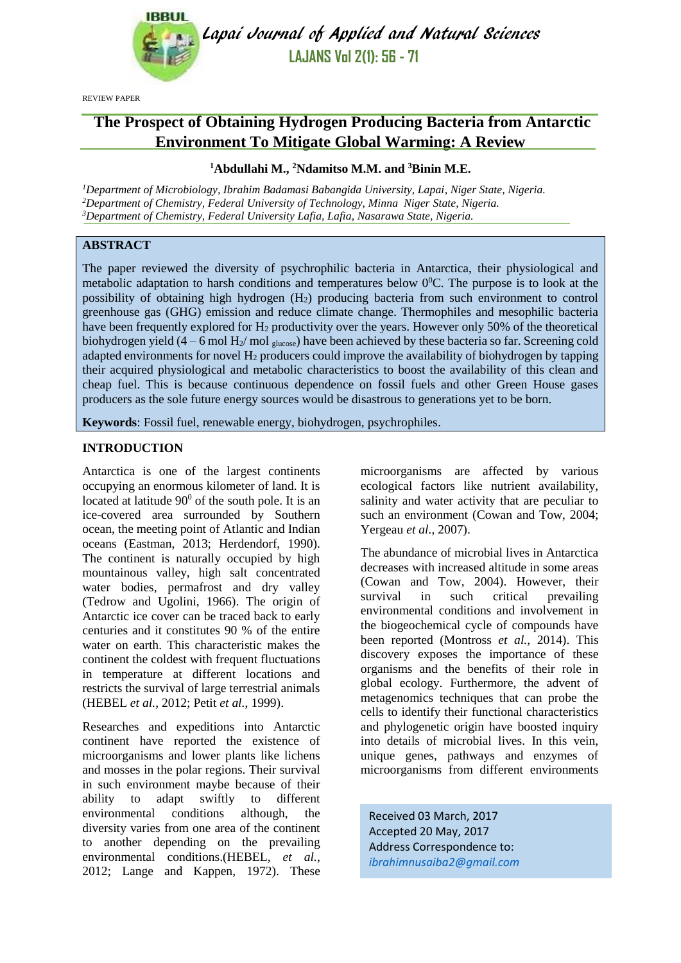

Lapai Journal of Applied and Natural Sciences **LAJANS Vol 2(1): 56 - 71**

REVIEW PAPER

# **The Prospect of Obtaining Hydrogen Producing Bacteria from Antarctic Environment To Mitigate Global Warming: A Review**

# **<sup>1</sup>Abdullahi M., <sup>2</sup>Ndamitso M.M. and <sup>3</sup>Binin M.E.**

*<sup>1</sup>Department of Microbiology, Ibrahim Badamasi Babangida University, Lapai, Niger State, Nigeria. <sup>2</sup>Department of Chemistry, Federal University of Technology, Minna Niger State, Nigeria. <sup>3</sup>Department of Chemistry, Federal University Lafia, Lafia, Nasarawa State, Nigeria.*

# **ABSTRACT**

The paper reviewed the diversity of psychrophilic bacteria in Antarctica, their physiological and metabolic adaptation to harsh conditions and temperatures below  $0^0$ C. The purpose is to look at the possibility of obtaining high hydrogen (H2) producing bacteria from such environment to control greenhouse gas (GHG) emission and reduce climate change. Thermophiles and mesophilic bacteria have been frequently explored for  $H_2$  productivity over the years. However only 50% of the theoretical biohydrogen yield (4 – 6 mol H<sub>2</sub>/ mol  $_{\text{glucose}}$ ) have been achieved by these bacteria so far. Screening cold adapted environments for novel  $H_2$  producers could improve the availability of biohydrogen by tapping their acquired physiological and metabolic characteristics to boost the availability of this clean and cheap fuel. This is because continuous dependence on fossil fuels and other Green House gases producers as the sole future energy sources would be disastrous to generations yet to be born.

**Keywords**: Fossil fuel, renewable energy, biohydrogen, psychrophiles.

#### **INTRODUCTION**

Antarctica is one of the largest continents occupying an enormous kilometer of land. It is located at latitude  $90^{\circ}$  of the south pole. It is an ice-covered area surrounded by Southern ocean, the meeting point of Atlantic and Indian oceans [\(Eastman, 2013;](#page-11-0) [Herdendorf, 1990\)](#page-12-0). The continent is naturally occupied by high mountainous valley, high salt concentrated water bodies, permafrost and dry valley [\(Tedrow and Ugolini, 1966\)](#page-14-0). The origin of Antarctic ice cover can be traced back to early centuries and it constitutes 90 % of the entire water on earth. This characteristic makes the continent the coldest with frequent fluctuations in temperature at different locations and restricts the survival of large terrestrial animals [\(HEBEL](#page-12-1) *et al.*, 2012; Petit *et al.*[, 1999\)](#page-13-0).

Researches and expeditions into Antarctic continent have reported the existence of microorganisms and lower plants like lichens and mosses in the polar regions. Their survival in such environment maybe because of their ability to adapt swiftly to different environmental conditions although, the diversity varies from one area of the continent to another depending on the prevailing environmental conditions.(HEBEL*[, et al.](#page-12-1)*, [2012;](#page-12-1) [Lange and Kappen, 1972\)](#page-12-2). These microorganisms are affected by various ecological factors like nutrient availability, salinity and water activity that are peculiar to such an environment [\(Cowan and Tow, 2004;](#page-11-1) [Yergeau](#page-14-1) *et al.*, 2007).

The abundance of microbial lives in Antarctica decreases with increased altitude in some areas [\(Cowan and Tow, 2004\)](#page-11-1). However, their survival in such critical prevailing environmental conditions and involvement in the biogeochemical cycle of compounds have been reported [\(Montross](#page-13-1) *et al.*, 2014). This discovery exposes the importance of these organisms and the benefits of their role in global ecology. Furthermore, the advent of metagenomics techniques that can probe the cells to identify their functional characteristics and phylogenetic origin have boosted inquiry into details of microbial lives. In this vein, unique genes, pathways and enzymes of microorganisms from different environments

Received 03 March, 2017 Accepted 20 May, 2017 Address Correspondence to: *[ibrahimnusaiba2@gmail.com](mailto:ibrahimnusaiba2@gmail.com)*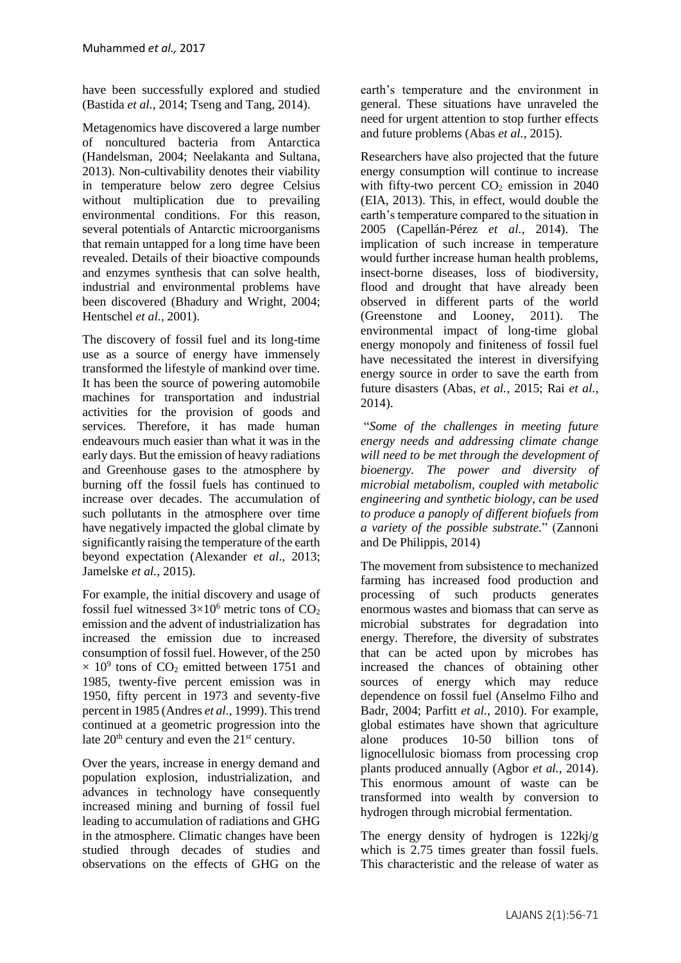have been successfully explored and studied [\(Bastida](#page-10-0) *et al.*, 2014[; Tseng and Tang, 2014\)](#page-14-2).

Metagenomics have discovered a large number of noncultured bacteria from Antarctica [\(Handelsman, 2004;](#page-12-3) [Neelakanta and Sultana,](#page-13-2)  [2013\)](#page-13-2). Non-cultivability denotes their viability in temperature below zero degree Celsius without multiplication due to prevailing environmental conditions. For this reason, several potentials of Antarctic microorganisms that remain untapped for a long time have been revealed. Details of their bioactive compounds and enzymes synthesis that can solve health, industrial and environmental problems have been discovered [\(Bhadury and Wright, 2004;](#page-11-2) [Hentschel](#page-12-4) *et al.*, 2001).

The discovery of fossil fuel and its long-time use as a source of energy have immensely transformed the lifestyle of mankind over time. It has been the source of powering automobile machines for transportation and industrial activities for the provision of goods and services. Therefore, it has made human endeavours much easier than what it was in the early days. But the emission of heavy radiations and Greenhouse gases to the atmosphere by burning off the fossil fuels has continued to increase over decades. The accumulation of such pollutants in the atmosphere over time have negatively impacted the global climate by significantly raising the temperature of the earth beyond expectation (Alexander *et al*., 2013; [Jamelske](#page-12-5) *et al.*, 2015).

For example, the initial discovery and usage of fossil fuel witnessed  $3\times10^6$  metric tons of CO<sub>2</sub> emission and the advent of industrialization has increased the emission due to increased consumption of fossil fuel. However, of the 250  $\times$  10<sup>9</sup> tons of CO<sub>2</sub> emitted between 1751 and 1985, twenty-five percent emission was in 1950, fifty percent in 1973 and seventy-five percent in 1985 [\(Andres](#page-10-1) *et al.*, 1999). This trend continued at a geometric progression into the late  $20<sup>th</sup>$  century and even the  $21<sup>st</sup>$  century.

Over the years, increase in energy demand and population explosion, industrialization, and advances in technology have consequently increased mining and burning of fossil fuel leading to accumulation of radiations and GHG in the atmosphere. Climatic changes have been studied through decades of studies and observations on the effects of GHG on the

earth's temperature and the environment in general. These situations have unraveled the need for urgent attention to stop further effects and future problems (Abas *et al.*[, 2015\)](#page-10-2).

Researchers have also projected that the future energy consumption will continue to increase with fifty-two percent  $CO<sub>2</sub>$  emission in 2040 [\(EIA, 2013\)](#page-11-3). This, in effect, would double the earth's temperature compared to the situation in 2005 [\(Capellán-Pérez](#page-11-4) *et al.*, 2014). The implication of such increase in temperature would further increase human health problems, insect-borne diseases, loss of biodiversity, flood and drought that have already been observed in different parts of the world [\(Greenstone and Looney, 2011\)](#page-12-6). The environmental impact of long-time global energy monopoly and finiteness of fossil fuel have necessitated the interest in diversifying energy source in order to save the earth from future disasters (Abas*, et al.*[, 2015;](#page-10-2) Rai *[et al.](#page-14-3)*, [2014\)](#page-14-3).

"*Some of the challenges in meeting future energy needs and addressing climate change will need to be met through the development of bioenergy. The power and diversity of microbial metabolism, coupled with metabolic engineering and synthetic biology, can be used to produce a panoply of different biofuels from a variety of the possible substrate.*" (Zannoni and De Philippis, 2014)

The movement from subsistence to mechanized farming has increased food production and processing of such products generates enormous wastes and biomass that can serve as microbial substrates for degradation into energy. Therefore, the diversity of substrates that can be acted upon by microbes has increased the chances of obtaining other sources of energy which may reduce dependence on fossil fuel [\(Anselmo Filho and](#page-10-3)  [Badr, 2004;](#page-10-3) Parfitt *et al.*[, 2010\)](#page-13-3). For example, global estimates have shown that agriculture alone produces 10-50 billion tons of lignocellulosic biomass from processing crop plants produced annually [\(Agbor](#page-10-4) *et al.*, 2014). This enormous amount of waste can be transformed into wealth by conversion to hydrogen through microbial fermentation.

The energy density of hydrogen is 122kj/g which is 2.75 times greater than fossil fuels. This characteristic and the release of water as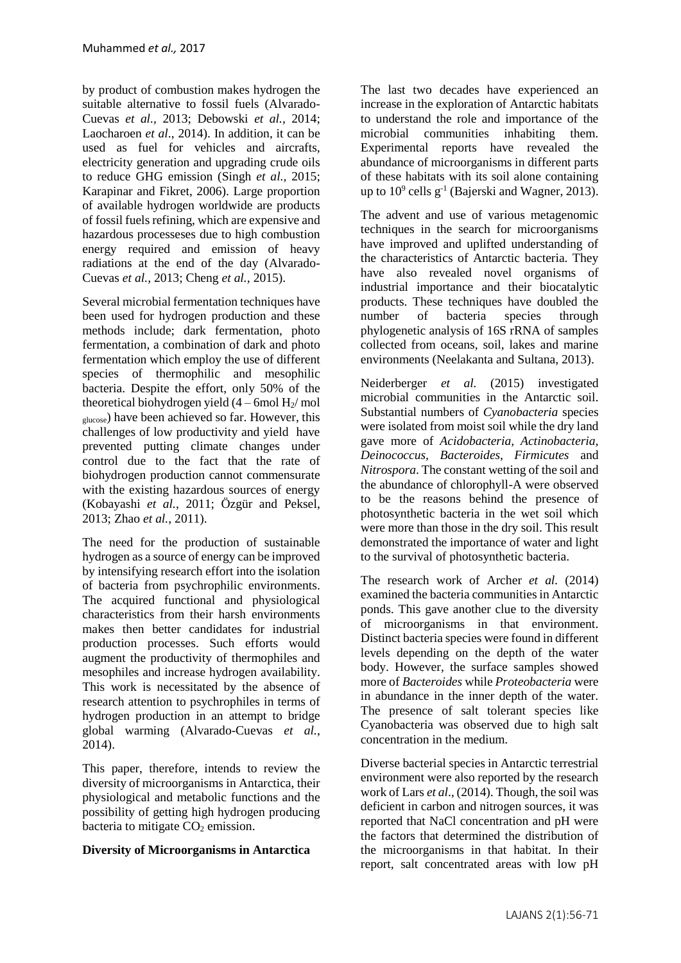by product of combustion makes hydrogen the suitable alternative to fossil fuels (Alvarado-Cuevas *et al.,* 2013; Debowski *et al.,* 2014; Laocharoen *et al*., 2014). In addition, it can be used as fuel for vehicles and aircrafts, electricity generation and upgrading crude oils to reduce GHG emission [\(Singh](http://www.sciencedirect.com/science/article/pii/S1364032115006127) *et al.,* 2015; Karapinar and Fikret, 2006). Large proportion of available hydrogen worldwide are products of fossil fuels refining, which are expensive and hazardous processeses due to high combustion energy required and emission of heavy radiations at the end of the day (Alvarado-Cuevas *et al.,* 2013; Cheng *et al.,* 2015).

Several microbial fermentation techniques have been used for hydrogen production and these methods include; dark fermentation, photo fermentation, a combination of dark and photo fermentation which employ the use of different species of thermophilic and mesophilic bacteria. Despite the effort, only 50% of the theoretical biohydrogen yield  $(4 - 6$ mol  $H<sub>2</sub>/$  mol glucose) have been achieved so far. However, this challenges of low productivity and yield have prevented putting climate changes under control due to the fact that the rate of biohydrogen production cannot commensurate with the existing hazardous sources of energy [\(Kobayashi](#page-12-7) *et al.*, 2011; [Özgür and Peksel,](#page-13-4)  [2013;](#page-13-4) Zhao *et al.*[, 2011\)](#page-15-0).

The need for the production of sustainable hydrogen as a source of energy can be improved by intensifying research effort into the isolation of bacteria from psychrophilic environments. The acquired functional and physiological characteristics from their harsh environments makes then better candidates for industrial production processes. Such efforts would augment the productivity of thermophiles and mesophiles and increase hydrogen availability. This work is necessitated by the absence of research attention to psychrophiles in terms of hydrogen production in an attempt to bridge global warming [\(Alvarado-Cuevas](#page-10-5) *et al.*, [2014\)](#page-10-5).

This paper, therefore, intends to review the diversity of microorganisms in Antarctica, their physiological and metabolic functions and the possibility of getting high hydrogen producing bacteria to mitigate  $CO<sub>2</sub>$  emission.

# **Diversity of Microorganisms in Antarctica**

The last two decades have experienced an increase in the exploration of Antarctic habitats to understand the role and importance of the microbial communities inhabiting them. Experimental reports have revealed the abundance of microorganisms in different parts of these habitats with its soil alone containing up to  $10^9$  cells  $g^{-1}$  [\(Bajerski and Wagner, 2013\)](#page-10-6).

The advent and use of various metagenomic techniques in the search for microorganisms have improved and uplifted understanding of the characteristics of Antarctic bacteria. They have also revealed novel organisms of industrial importance and their biocatalytic products. These techniques have doubled the number of bacteria species through phylogenetic analysis of 16S rRNA of samples collected from oceans, soil, lakes and marine environments [\(Neelakanta and Sultana, 2013\)](#page-13-2).

Neiderberger *et al.* (2015) investigated microbial communities in the Antarctic soil. Substantial numbers of *Cyanobacteria* species were isolated from moist soil while the dry land gave more of *Acidobacteria, Actinobacteria, Deinococcus, Bacteroides, Firmicutes* and *Nitrospora*. The constant wetting of the soil and the abundance of chlorophyll-A were observed to be the reasons behind the presence of photosynthetic bacteria in the wet soil which were more than those in the dry soil. This result demonstrated the importance of water and light to the survival of photosynthetic bacteria.

The research work of Archer *et al.* (2014) examined the bacteria communities in Antarctic ponds. This gave another clue to the diversity of microorganisms in that environment. Distinct bacteria species were found in different levels depending on the depth of the water body. However, the surface samples showed more of *Bacteroides* while *Proteobacteria* were in abundance in the inner depth of the water. The presence of salt tolerant species like Cyanobacteria was observed due to high salt concentration in the medium.

Diverse bacterial species in Antarctic terrestrial environment were also reported by the research work of Lars *et al*., (2014). Though, the soil was deficient in carbon and nitrogen sources, it was reported that NaCl concentration and pH were the factors that determined the distribution of the microorganisms in that habitat. In their report, salt concentrated areas with low pH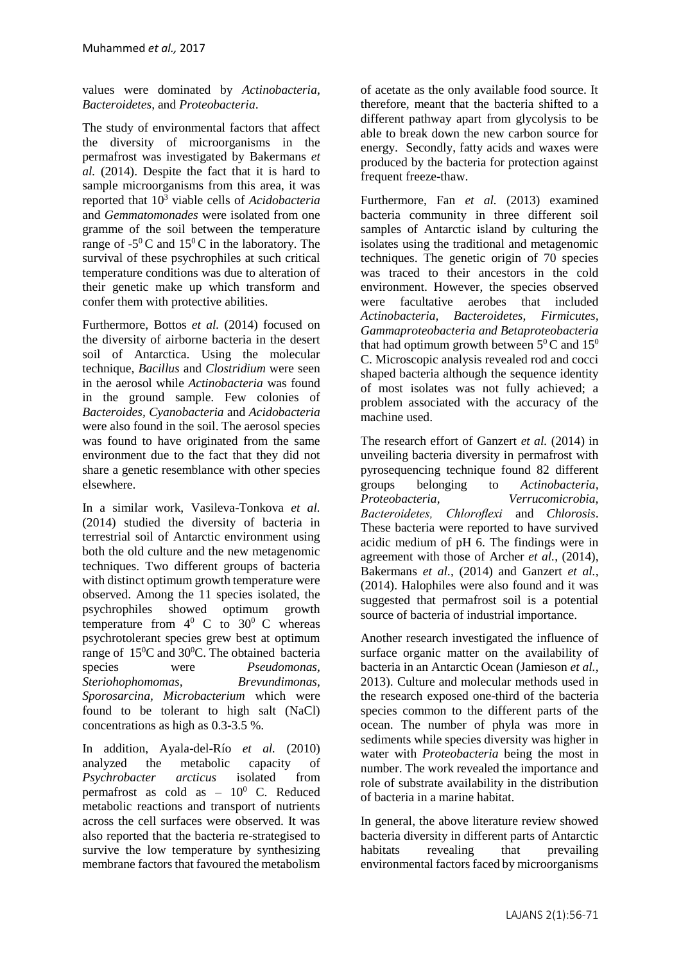values were dominated by *Actinobacteria, Bacteroidetes,* and *Proteobacteria*.

The study of environmental factors that affect the diversity of microorganisms in the permafrost was investigated by [Bakermans](#page-10-7) *et al.* [\(2014\)](#page-10-7). Despite the fact that it is hard to sample microorganisms from this area, it was reported that 10<sup>3</sup> viable cells of *Acidobacteria* and *Gemmatomonades* were isolated from one gramme of the soil between the temperature range of  $-5^{\circ}$ C and  $15^{\circ}$ C in the laboratory. The survival of these psychrophiles at such critical temperature conditions was due to alteration of their genetic make up which transform and confer them with protective abilities.

Furthermore, Bottos *et al.* (2014) focused on the diversity of airborne bacteria in the desert soil of Antarctica. Using the molecular technique, *Bacillus* and *Clostridium* were seen in the aerosol while *Actinobacteria* was found in the ground sample. Few colonies of *Bacteroides, Cyanobacteria* and *Acidobacteria* were also found in the soil. The aerosol species was found to have originated from the same environment due to the fact that they did not share a genetic resemblance with other species elsewhere.

In a similar work, Vasileva-Tonkova *et al.* (2014) studied the diversity of bacteria in terrestrial soil of Antarctic environment using both the old culture and the new metagenomic techniques. Two different groups of bacteria with distinct optimum growth temperature were observed. Among the 11 species isolated, the psychrophiles showed optimum growth temperature from  $4^0$  C to  $30^0$  C whereas psychrotolerant species grew best at optimum range of 15<sup>0</sup>C and 30<sup>0</sup>C. The obtained bacteria species were *Pseudomonas, Steriohophomomas, Brevundimonas, Sporosarcina, Microbacterium* which were found to be tolerant to high salt (NaCl) concentrations as high as 0.3-3.5 %.

In addition, Ayala-del-Río *et al.* (2010) analyzed the metabolic capacity of *Psychrobacter arcticus* isolated from permafrost as cold as  $-10^0$  C. Reduced metabolic reactions and transport of nutrients across the cell surfaces were observed. It was also reported that the bacteria re-strategised to survive the low temperature by synthesizing membrane factors that favoured the metabolism of acetate as the only available food source. It therefore, meant that the bacteria shifted to a different pathway apart from glycolysis to be able to break down the new carbon source for energy. Secondly, fatty acids and waxes were produced by the bacteria for protection against frequent freeze-thaw.

Furthermore, Fan *et al.* (2013) examined bacteria community in three different soil samples of Antarctic island by culturing the isolates using the traditional and metagenomic techniques. The genetic origin of 70 species was traced to their ancestors in the cold environment. However, the species observed were facultative aerobes that included *Actinobacteria, Bacteroidetes, Firmicutes, Gammaproteobacteria and Betaproteobacteria*  that had optimum growth between  $5^0$ C and  $15^0$ C. Microscopic analysis revealed rod and cocci shaped bacteria although the sequence identity of most isolates was not fully achieved; a problem associated with the accuracy of the machine used.

The research effort of Ganzert *et al.* (2014) in unveiling bacteria diversity in permafrost with pyrosequencing technique found 82 different groups belonging to *Actinobacteria, Proteobacteria, Verrucomicrobia, Bacteroidetes, Chloroflexi* and *Chlorosis*. These bacteria were reported to have survived acidic medium of pH 6. The findings were in agreement with those of Archer *et al.*[, \(2014\)](#page-10-8), [Bakermans](#page-10-7) *et al.*, (2014) and [Ganzert](#page-11-5) *et al.*, [\(2014\)](#page-11-5). Halophiles were also found and it was suggested that permafrost soil is a potential source of bacteria of industrial importance.

Another research investigated the influence of surface organic matter on the availability of bacteria in an Antarctic Ocean [\(Jamieson](#page-12-8) *et al.*, [2013\)](#page-12-8). Culture and molecular methods used in the research exposed one-third of the bacteria species common to the different parts of the ocean. The number of phyla was more in sediments while species diversity was higher in water with *Proteobacteria* being the most in number. The work revealed the importance and role of substrate availability in the distribution of bacteria in a marine habitat.

In general, the above literature review showed bacteria diversity in different parts of Antarctic habitats revealing that prevailing environmental factors faced by microorganisms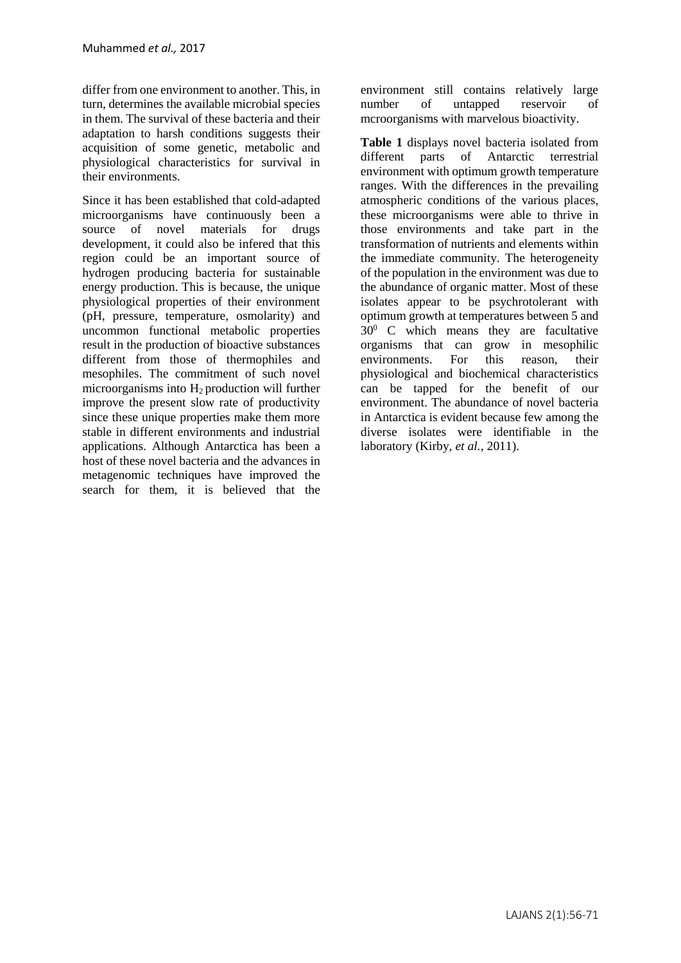differ from one environment to another. This, in turn, determines the available microbial species in them. The survival of these bacteria and their adaptation to harsh conditions suggests their acquisition of some genetic, metabolic and physiological characteristics for survival in their environments.

Since it has been established that cold-adapted microorganisms have continuously been a source of novel materials for drugs development, it could also be infered that this region could be an important source of hydrogen producing bacteria for sustainable energy production. This is because, the unique physiological properties of their environment (pH, pressure, temperature, osmolarity) and uncommon functional metabolic properties result in the production of bioactive substances different from those of thermophiles and mesophiles. The commitment of such novel microorganisms into  $H_2$  production will further improve the present slow rate of productivity since these unique properties make them more stable in different environments and industrial applications. Although Antarctica has been a host of these novel bacteria and the advances in metagenomic techniques have improved the search for them, it is believed that the

environment still contains relatively large number of untapped reservoir of mcroorganisms with marvelous bioactivity.

**Table 1** displays novel bacteria isolated from different parts of Antarctic terrestrial environment with optimum growth temperature ranges. With the differences in the prevailing atmospheric conditions of the various places, these microorganisms were able to thrive in those environments and take part in the transformation of nutrients and elements within the immediate community. The heterogeneity of the population in the environment was due to the abundance of organic matter. Most of these isolates appear to be psychrotolerant with optimum growth at temperatures between 5 and  $30^0$  C which means they are facultative organisms that can grow in mesophilic environments. For this reason, their physiological and biochemical characteristics can be tapped for the benefit of our environment. The abundance of novel bacteria in Antarctica is evident because few among the diverse isolates were identifiable in the laboratory (Kirby*, et al.*[, 2011\)](#page-12-9).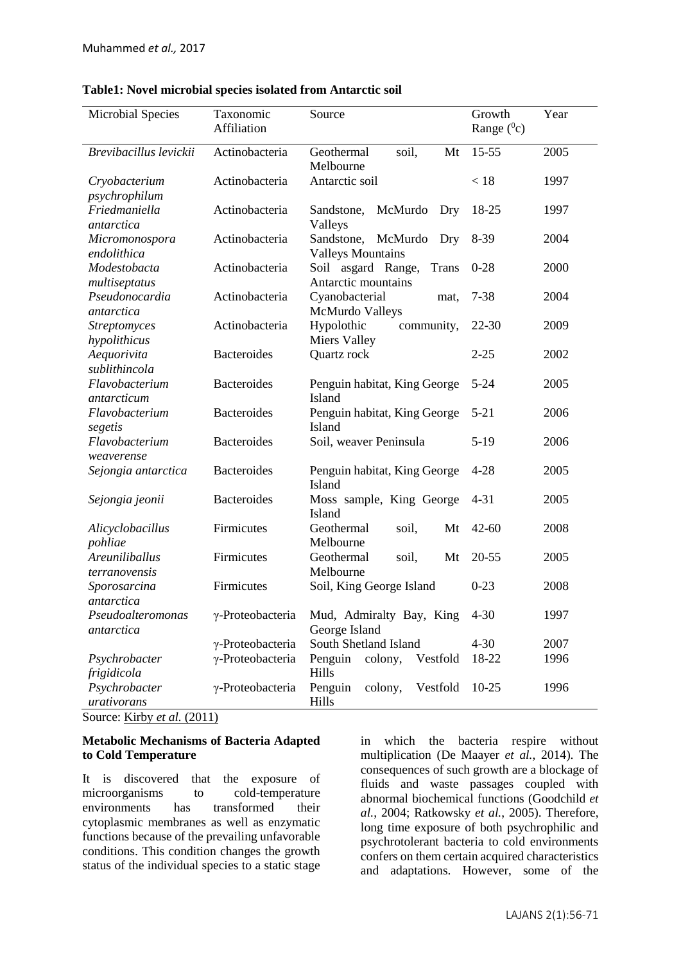| <b>Microbial Species</b>            | Taxonomic<br>Affiliation | Source                                                          | Growth<br>Range $(^0c)$ | Year |
|-------------------------------------|--------------------------|-----------------------------------------------------------------|-------------------------|------|
| Brevibacillus levickii              | Actinobacteria           | soil,<br>Geothermal<br>Mt<br>Melbourne                          | $15 - 55$               | 2005 |
| Cryobacterium<br>psychrophilum      | Actinobacteria           | Antarctic soil                                                  | < 18                    | 1997 |
| Friedmaniella<br>antarctica         | Actinobacteria           | Sandstone,<br>McMurdo<br>Dry<br>Valleys                         | 18-25                   | 1997 |
| Micromonospora<br>endolithica       | Actinobacteria           | Sandstone,<br>McMurdo<br>Dry<br><b>Valleys Mountains</b>        | 8-39                    | 2004 |
| Modestobacta<br>multiseptatus       | Actinobacteria           | Soil asgard Range,<br><b>Trans</b><br>Antarctic mountains       | $0 - 28$                | 2000 |
| Pseudonocardia<br>antarctica        | Actinobacteria           | Cyanobacterial<br>mat,<br><b>McMurdo Valleys</b>                | $7 - 38$                | 2004 |
| <b>Streptomyces</b><br>hypolithicus | Actinobacteria           | Hypolothic<br>community,<br><b>Miers Valley</b>                 | $22 - 30$               | 2009 |
| Aequorivita<br>sublithincola        | <b>Bacteroides</b>       | Quartz rock                                                     | $2 - 25$                | 2002 |
| Flavobacterium<br>antarcticum       | <b>Bacteroides</b>       | Penguin habitat, King George<br>Island                          | $5 - 24$                | 2005 |
| Flavobacterium<br>segetis           | <b>Bacteroides</b>       | Penguin habitat, King George<br>Island                          | $5 - 21$                | 2006 |
| Flavobacterium<br>weaverense        | <b>Bacteroides</b>       | Soil, weaver Peninsula                                          | $5-19$                  | 2006 |
| Sejongia antarctica                 | <b>Bacteroides</b>       | Penguin habitat, King George<br>Island                          | $4 - 28$                | 2005 |
| Sejongia jeonii                     | <b>Bacteroides</b>       | Moss sample, King George<br>Island                              | $4 - 31$                | 2005 |
| Alicyclobacillus<br>pohliae         | Firmicutes               | Geothermal<br>Mt<br>soil,<br>Melbourne                          | $42 - 60$               | 2008 |
| Areuniliballus<br>terranovensis     | Firmicutes               | Geothermal<br>Mt<br>soil,<br>Melbourne                          | $20 - 55$               | 2005 |
| Sporosarcina<br>antarctica          | Firmicutes               | Soil, King George Island                                        | $0 - 23$                | 2008 |
| Pseudoalteromonas<br>antarctica     |                          | y-Proteobacteria Mud, Admiralty Bay, King 4-30<br>George Island |                         | 1997 |
|                                     | γ-Proteobacteria         | South Shetland Island                                           | $4 - 30$                | 2007 |
|                                     |                          | Penguin                                                         | 18-22                   | 1996 |
| Psychrobacter<br>frigidicola        | γ-Proteobacteria         | colony,<br>Vestfold<br>Hills                                    |                         |      |
| Psychrobacter<br>urativorans        | γ-Proteobacteria         | Vestfold<br>Penguin<br>colony,<br>Hills                         | $10-25$                 | 1996 |

Source: Kirby *et al.* (2011)

# **Metabolic Mechanisms of Bacteria Adapted to Cold Temperature**

It is discovered that the exposure of microorganisms to cold-temperature environments has transformed their cytoplasmic membranes as well as enzymatic functions because of the prevailing unfavorable conditions. This condition changes the growth status of the individual species to a static stage in which the bacteria respire without multiplication [\(De Maayer](#page-11-6) *et al.*, 2014). The consequences of such growth are a blockage of fluids and waste passages coupled with abnormal biochemical functions [\(Goodchild](#page-11-7) *et al.*[, 2004;](#page-11-7) [Ratkowsky](#page-14-4) *et al.*, 2005). Therefore, long time exposure of both psychrophilic and psychrotolerant bacteria to cold environments confers on them certain acquired characteristics and adaptations. However, some of the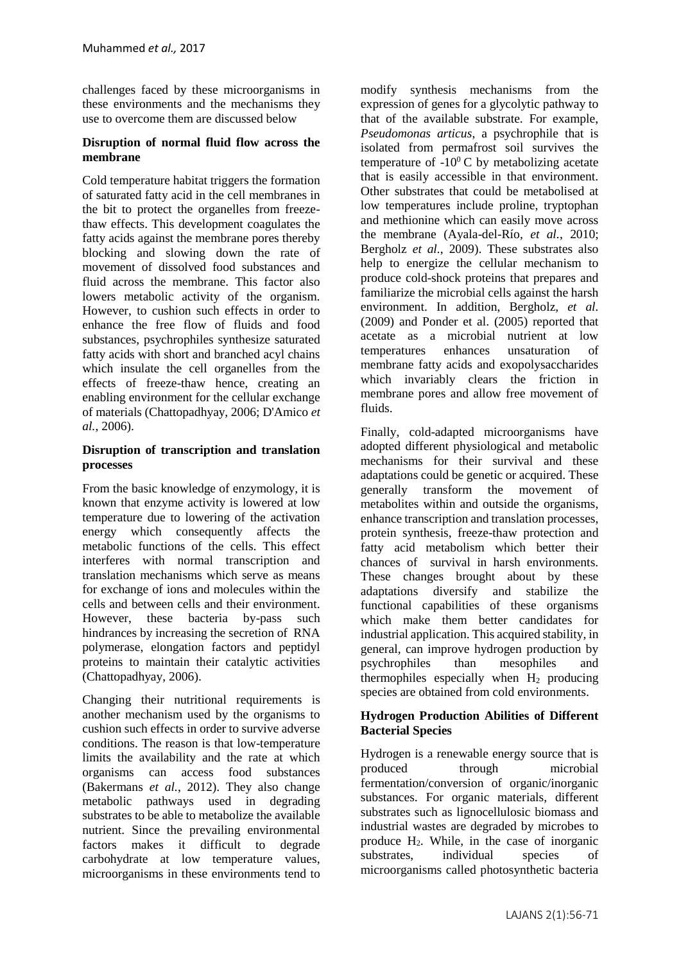challenges faced by these microorganisms in these environments and the mechanisms they use to overcome them are discussed below

### **Disruption of normal fluid flow across the membrane**

Cold temperature habitat triggers the formation of saturated fatty acid in the cell membranes in the bit to protect the organelles from freezethaw effects. This development coagulates the fatty acids against the membrane pores thereby blocking and slowing down the rate of movement of dissolved food substances and fluid across the membrane. This factor also lowers metabolic activity of the organism. However, to cushion such effects in order to enhance the free flow of fluids and food substances, psychrophiles synthesize saturated fatty acids with short and branched acyl chains which insulate the cell organelles from the effects of freeze-thaw hence, creating an enabling environment for the cellular exchange of materials [\(Chattopadhyay, 2006;](#page-11-8) [D'Amico](#page-11-9) *et al.*[, 2006\)](#page-11-9).

### **Disruption of transcription and translation processes**

From the basic knowledge of enzymology, it is known that enzyme activity is lowered at low temperature due to lowering of the activation energy which consequently affects the metabolic functions of the cells. This effect interferes with normal transcription and translation mechanisms which serve as means for exchange of ions and molecules within the cells and between cells and their environment. However, these bacteria by-pass such hindrances by increasing the secretion of RNA polymerase, elongation factors and peptidyl proteins to maintain their catalytic activities [\(Chattopadhyay, 2006\)](#page-11-8).

Changing their nutritional requirements is another mechanism used by the organisms to cushion such effects in order to survive adverse conditions. The reason is that low-temperature limits the availability and the rate at which organisms can access food substances [\(Bakermans](#page-10-9) *et al.*, 2012). They also change metabolic pathways used in degrading substrates to be able to metabolize the available nutrient. Since the prevailing environmental factors makes it difficult to degrade carbohydrate at low temperature values, microorganisms in these environments tend to modify synthesis mechanisms from the expression of genes for a glycolytic pathway to that of the available substrate. For example, *Pseudomonas articus*, a psychrophile that is isolated from permafrost soil survives the temperature of  $-10^0$  C by metabolizing acetate that is easily accessible in that environment. Other substrates that could be metabolised at low temperatures include proline, tryptophan and methionine which can easily move across the membrane [\(Ayala-del-Río](#page-10-10)*, et al.*, 2010; [Bergholz](#page-11-10) *et al.*, 2009). These substrates also help to energize the cellular mechanism to produce cold-shock proteins that prepares and familiarize the microbial cells against the harsh environment. In addition, Bergholz*, et al.* (2009) and Ponder et al. (2005) reported that acetate as a microbial nutrient at low temperatures enhances unsaturation of membrane fatty acids and exopolysaccharides which invariably clears the friction in membrane pores and allow free movement of fluids.

Finally, cold-adapted microorganisms have adopted different physiological and metabolic mechanisms for their survival and these adaptations could be genetic or acquired. These generally transform the movement of metabolites within and outside the organisms, enhance transcription and translation processes, protein synthesis, freeze-thaw protection and fatty acid metabolism which better their chances of survival in harsh environments. These changes brought about by these adaptations diversify and stabilize the functional capabilities of these organisms which make them better candidates for industrial application. This acquired stability, in general, can improve hydrogen production by psychrophiles than mesophiles and thermophiles especially when  $H_2$  producing species are obtained from cold environments.

#### **Hydrogen Production Abilities of Different Bacterial Species**

Hydrogen is a renewable energy source that is produced through microbial fermentation/conversion of organic/inorganic substances. For organic materials, different substrates such as lignocellulosic biomass and industrial wastes are degraded by microbes to produce  $H_2$ . While, in the case of inorganic substrates, individual species of microorganisms called photosynthetic bacteria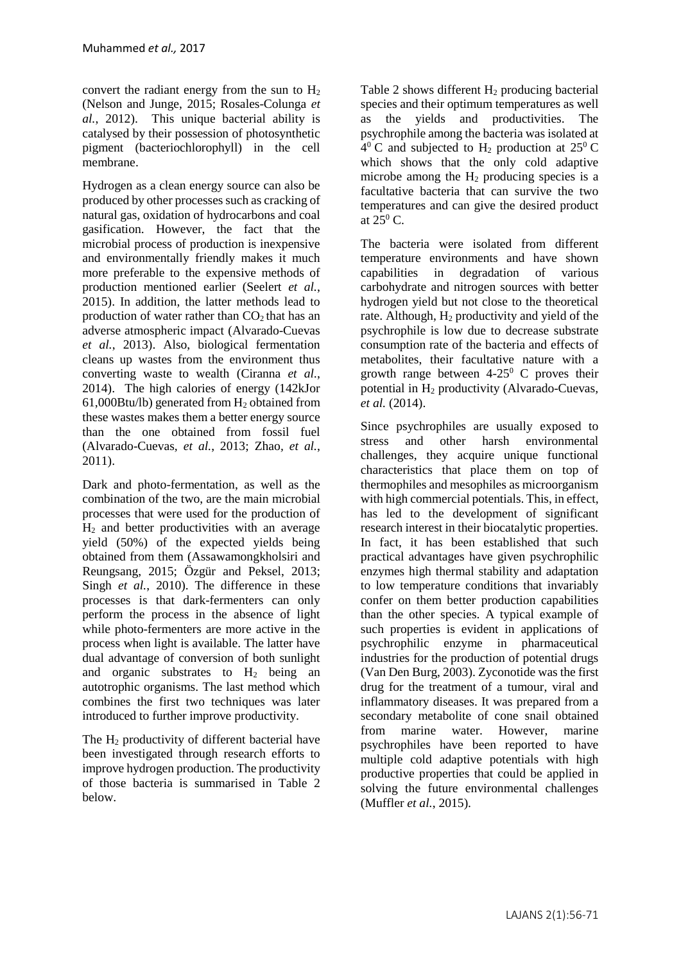convert the radiant energy from the sun to  $H_2$ [\(Nelson and Junge, 2015;](#page-13-5) [Rosales-Colunga](#page-14-5) *et al.*[, 2012\)](#page-14-5). This unique bacterial ability is catalysed by their possession of photosynthetic pigment (bacteriochlorophyll) in the cell membrane.

Hydrogen as a clean energy source can also be produced by other processes such as cracking of natural gas, oxidation of hydrocarbons and coal gasification. However, the fact that the microbial process of production is inexpensive and environmentally friendly makes it much more preferable to the expensive methods of production mentioned earlier [\(Seelert](#page-14-6) *et al.*, [2015\)](#page-14-6). In addition, the latter methods lead to production of water rather than  $CO<sub>2</sub>$  that has an adverse atmospheric impact [\(Alvarado-Cuevas](#page-10-11) *et al.*[, 2013\)](#page-10-11). Also, biological fermentation cleans up wastes from the environment thus converting waste to wealth [\(Ciranna](#page-11-11) *et al.*, [2014\)](#page-11-11). The high calories of energy (142kJor 61,000Btu/lb) generated from  $H_2$  obtained from these wastes makes them a better energy source than the one obtained from fossil fuel [\(Alvarado-Cuevas](#page-10-11)*, et al.*, 2013; Zhao*[, et al.](#page-15-0)*, [2011\)](#page-15-0).

Dark and photo-fermentation, as well as the combination of the two, are the main microbial processes that were used for the production of H<sup>2</sup> and better productivities with an average yield (50%) of the expected yields being obtained from them [\(Assawamongkholsiri and](#page-10-12)  [Reungsang, 2015;](#page-10-12) [Özgür and Peksel, 2013;](#page-13-4) Singh *et al.*[, 2010\)](#page-14-7). The difference in these processes is that dark-fermenters can only perform the process in the absence of light while photo-fermenters are more active in the process when light is available. The latter have dual advantage of conversion of both sunlight and organic substrates to  $H_2$  being an autotrophic organisms. The last method which combines the first two techniques was later introduced to further improve productivity.

The H<sub>2</sub> productivity of different bacterial have been investigated through research efforts to improve hydrogen production. The productivity of those bacteria is summarised in Table 2 below.

Table 2 shows different  $H_2$  producing bacterial species and their optimum temperatures as well as the yields and productivities. The psychrophile among the bacteria was isolated at  $4^{\circ}$  C and subjected to H<sub>2</sub> production at 25<sup>°</sup> C which shows that the only cold adaptive microbe among the  $H_2$  producing species is a facultative bacteria that can survive the two temperatures and can give the desired product at  $25^{\circ}$  C.

The bacteria were isolated from different temperature environments and have shown capabilities in degradation of various carbohydrate and nitrogen sources with better hydrogen yield but not close to the theoretical rate. Although,  $H_2$  productivity and yield of the psychrophile is low due to decrease substrate consumption rate of the bacteria and effects of metabolites, their facultative nature with a growth range between  $4-25$ <sup>0</sup> C proves their potential in H<sup>2</sup> productivity (Alvarado-Cuevas*, et al.* (2014).

Since psychrophiles are usually exposed to stress and other harsh environmental challenges, they acquire unique functional characteristics that place them on top of thermophiles and mesophiles as microorganism with high commercial potentials. This, in effect, has led to the development of significant research interest in their biocatalytic properties. In fact, it has been established that such practical advantages have given psychrophilic enzymes high thermal stability and adaptation to low temperature conditions that invariably confer on them better production capabilities than the other species. A typical example of such properties is evident in applications of psychrophilic enzyme in pharmaceutical industries for the production of potential drugs [\(Van Den Burg, 2003\)](#page-14-8). Zyconotide was the first drug for the treatment of a tumour, viral and inflammatory diseases. It was prepared from a secondary metabolite of cone snail obtained from marine water. However, marine psychrophiles have been reported to have multiple cold adaptive potentials with high productive properties that could be applied in solving the future environmental challenges [\(Muffler](#page-13-6) *et al.*, 2015).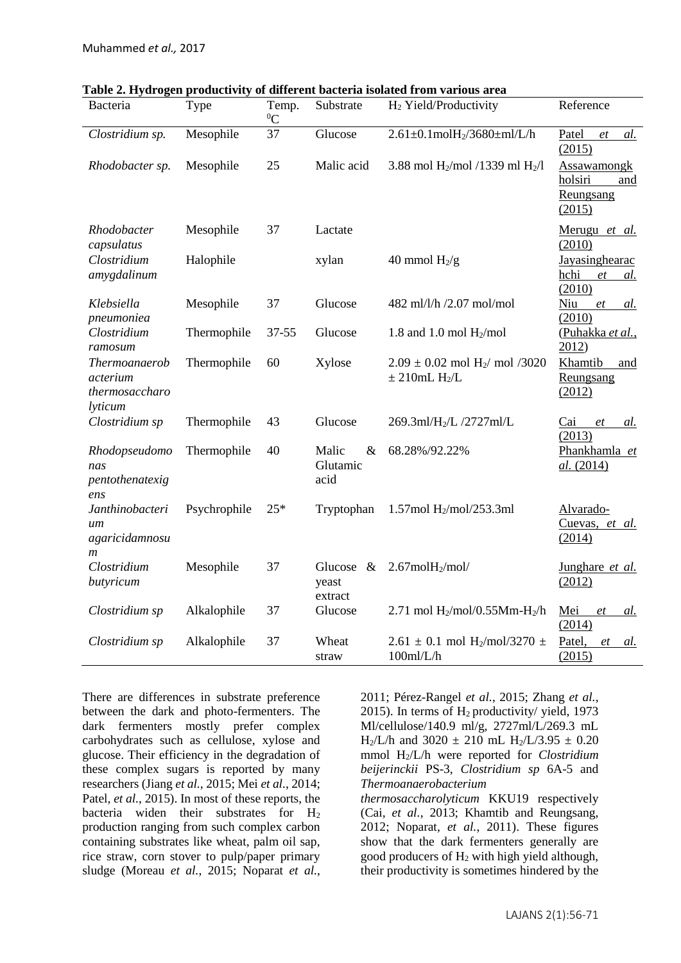| Bacteria                                                    | Type         | Temp.<br>${}^{0}C$ | Substrate                         | H <sub>2</sub> Yield/Productivity                                               | Reference                                            |
|-------------------------------------------------------------|--------------|--------------------|-----------------------------------|---------------------------------------------------------------------------------|------------------------------------------------------|
| Clostridium sp.                                             | Mesophile    | 37                 | Glucose                           | $2.61 \pm 0.1$ mol $H_2/3680 \pm ml/L/h$                                        | Patel<br>et<br>al.<br>(2015)                         |
| Rhodobacter sp.                                             | Mesophile    | 25                 | Malic acid                        | 3.88 mol H <sub>2</sub> /mol /1339 ml H <sub>2</sub> /l                         | Assawamongk<br>holsiri<br>and<br>Reungsang<br>(2015) |
| Rhodobacter<br>capsulatus                                   | Mesophile    | 37                 | Lactate                           |                                                                                 | Merugu et al.<br>(2010)                              |
| Clostridium<br>amygdalinum                                  | Halophile    |                    | xylan                             | 40 mmol $H_2/g$                                                                 | Jayasinghearac<br>hchi<br>et<br><u>al.</u><br>(2010) |
| Klebsiella<br>pneumoniea                                    | Mesophile    | 37                 | Glucose                           | 482 ml/l/h /2.07 mol/mol                                                        | Niu<br>et<br><u>al.</u><br>(2010)                    |
| Clostridium<br>ramosum                                      | Thermophile  | $37 - 55$          | Glucose                           | 1.8 and 1.0 mol $H_2$ /mol                                                      | (Puhakka et al.,<br>2012)                            |
| Thermoanaerob<br>acterium<br>thermosaccharo<br>lyticum      | Thermophile  | 60                 | Xylose                            | $2.09 \pm 0.02$ mol H <sub>2</sub> / mol /3020<br>$\pm$ 210mL H <sub>2</sub> /L | Khamtib<br>and<br>Reungsang<br>(2012)                |
| Clostridium sp                                              | Thermophile  | 43                 | Glucose                           | 269.3ml/H <sub>2</sub> /L /2727ml/L                                             | Cai<br>et<br>al.<br>(2013)                           |
| Rhodopseudomo<br>nas<br>pentothenatexig<br>ens              | Thermophile  | 40                 | Malic<br>$\&$<br>Glutamic<br>acid | 68.28%/92.22%                                                                   | Phankhamla et<br>al. (2014)                          |
| Janthinobacteri<br>um<br>agaricidamnosu<br>$\boldsymbol{m}$ | Psychrophile | $25*$              | Tryptophan                        | 1.57mol $H_2$ /mol/253.3ml                                                      | Alvarado-<br>Cuevas, et al.<br>(2014)                |
| Clostridium<br>butyricum                                    | Mesophile    | 37                 | Glucose $\&$<br>yeast<br>extract  | $2.67$ mol $H_2$ /mol/                                                          | Junghare et al.<br>(2012)                            |
| Clostridium sp                                              | Alkalophile  | 37                 | Glucose                           | 2.71 mol $H_2$ /mol/0.55Mm- $H_2$ /h                                            | Mei<br>et<br>al.<br>(2014)                           |
| Clostridium sp                                              | Alkalophile  | 37                 | Wheat<br>straw                    | $2.61 \pm 0.1$ mol H <sub>2</sub> /mol/3270 $\pm$<br>$100$ ml/L/h               | Patel,<br>al.<br>et<br>(2015)                        |

**Table 2. Hydrogen productivity of different bacteria isolated from various area**

There are differences in substrate preference between the dark and photo-fermenters. The dark fermenters mostly prefer complex carbohydrates such as cellulose, xylose and glucose. Their efficiency in the degradation of these complex sugars is reported by many researchers (Jiang *et al.*[, 2015;](#page-12-10) Mei *et al.*[, 2014;](#page-13-7) Patel*, et al.*[, 2015\)](#page-13-8). In most of these reports, the bacteria widen their substrates for  $H_2$ production ranging from such complex carbon containing substrates like wheat, palm oil sap, rice straw, corn stover to pulp/paper primary sludge [\(Moreau](#page-13-9) *et al.*, 2015; [Noparat](#page-13-10) *et al.*,

[2011;](#page-13-10) [Pérez-Rangel](#page-13-11) *et al.*, 2015; [Zhang](#page-14-10) *et al.*, [2015\)](#page-14-10). In terms of  $H_2$  productivity/ yield, 1973 Ml/cellulose/140.9 ml/g, 2727ml/L/269.3 mL  $H_2/L/h$  and 3020  $\pm$  210 mL  $H_2/L/3.95 \pm 0.20$ mmol H2/L/h were reported for *Clostridium beijerinckii* PS-3, *Clostridium sp* 6A-5 and *Thermoanaerobacterium* 

*thermosaccharolyticum* KKU19 respectively (Cai*[, et al.](#page-11-12)*, 2013; [Khamtib and Reungsang,](#page-12-11)  [2012;](#page-12-11) [Noparat](#page-13-10)*, et al.*, 2011). These figures show that the dark fermenters generally are good producers of H<sup>2</sup> with high yield although, their productivity is sometimes hindered by the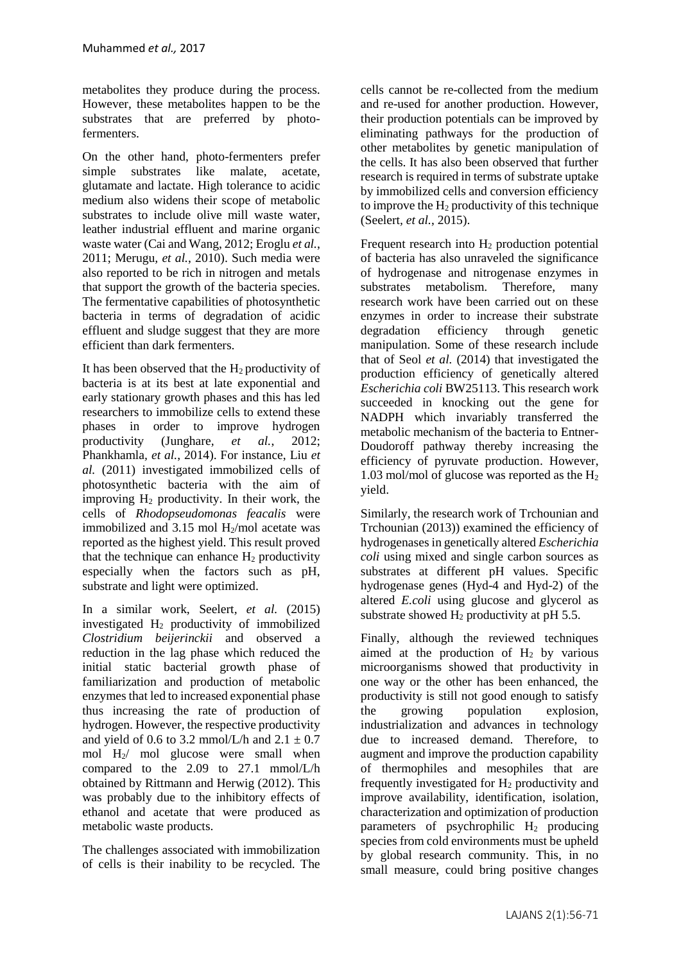metabolites they produce during the process. However, these metabolites happen to be the substrates that are preferred by photofermenters.

On the other hand, photo-fermenters prefer simple substrates like malate, acetate, glutamate and lactate. High tolerance to acidic medium also widens their scope of metabolic substrates to include olive mill waste water, leather industrial effluent and marine organic waste water [\(Cai and Wang, 2012;](#page-11-13) [Eroglu](#page-11-14) *et al.*, [2011;](#page-11-14) [Merugu](#page-13-12)*, et al.*, 2010). Such media were also reported to be rich in nitrogen and metals that support the growth of the bacteria species. The fermentative capabilities of photosynthetic bacteria in terms of degradation of acidic effluent and sludge suggest that they are more efficient than dark fermenters.

It has been observed that the  $H_2$  productivity of bacteria is at its best at late exponential and early stationary growth phases and this has led researchers to immobilize cells to extend these phases in order to improve hydrogen productivity (Junghare*[, et al.](#page-12-12)*, 2012; [Phankhamla](#page-14-11)*, et al.*, 2014). For instance, Liu *et al.* (2011) investigated immobilized cells of photosynthetic bacteria with the aim of improving  $H_2$  productivity. In their work, the cells of *Rhodopseudomonas feacalis* were immobilized and  $3.15$  mol H<sub>2</sub>/mol acetate was reported as the highest yield. This result proved that the technique can enhance  $H_2$  productivity especially when the factors such as pH, substrate and light were optimized.

In a similar work, Seelert*, et al.* (2015) investigated H<sup>2</sup> productivity of immobilized *Clostridium beijerinckii* and observed a reduction in the lag phase which reduced the initial static bacterial growth phase of familiarization and production of metabolic enzymes that led to increased exponential phase thus increasing the rate of production of hydrogen. However, the respective productivity and yield of 0.6 to 3.2 mmol/L/h and  $2.1 \pm 0.7$ mol H2/ mol glucose were small when compared to the 2.09 to 27.1 mmol/L/h obtained by [Rittmann and Herwig \(2012\)](#page-14-12). This was probably due to the inhibitory effects of ethanol and acetate that were produced as metabolic waste products.

The challenges associated with immobilization of cells is their inability to be recycled. The cells cannot be re-collected from the medium and re-used for another production. However, their production potentials can be improved by eliminating pathways for the production of other metabolites by genetic manipulation of the cells. It has also been observed that further research is required in terms of substrate uptake by immobilized cells and conversion efficiency to improve the  $H_2$  productivity of this technique [\(Seelert](#page-14-6)*, et al.*, 2015).

Frequent research into  $H_2$  production potential of bacteria has also unraveled the significance of hydrogenase and nitrogenase enzymes in substrates metabolism. Therefore, many research work have been carried out on these enzymes in order to increase their substrate degradation efficiency through genetic manipulation. Some of these research include that of Seol *et al.* (2014) that investigated the production efficiency of genetically altered *Escherichia coli* BW25113. This research work succeeded in knocking out the gene for NADPH which invariably transferred the metabolic mechanism of the bacteria to Entner-Doudoroff pathway thereby increasing the efficiency of pyruvate production. However, 1.03 mol/mol of glucose was reported as the  $H_2$ yield.

Similarly, the research work of [Trchounian and](#page-14-13)  [Trchounian \(2013\)\)](#page-14-13) examined the efficiency of hydrogenases in genetically altered *Escherichia coli* using mixed and single carbon sources as substrates at different pH values. Specific hydrogenase genes (Hyd-4 and Hyd-2) of the altered *E.coli* using glucose and glycerol as substrate showed  $H_2$  productivity at pH 5.5.

Finally, although the reviewed techniques aimed at the production of  $H_2$  by various microorganisms showed that productivity in one way or the other has been enhanced, the productivity is still not good enough to satisfy the growing population explosion, industrialization and advances in technology due to increased demand. Therefore, to augment and improve the production capability of thermophiles and mesophiles that are frequently investigated for  $H_2$  productivity and improve availability, identification, isolation, characterization and optimization of production parameters of psychrophilic  $H_2$  producing species from cold environments must be upheld by global research community. This, in no small measure, could bring positive changes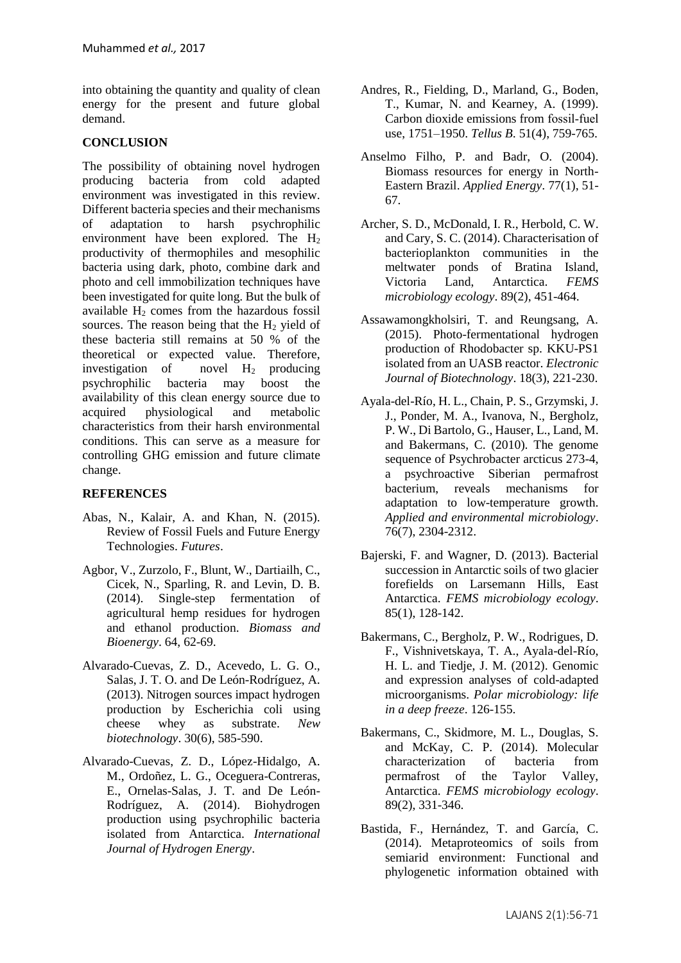into obtaining the quantity and quality of clean energy for the present and future global demand.

# **CONCLUSION**

The possibility of obtaining novel hydrogen producing bacteria from cold adapted environment was investigated in this review. Different bacteria species and their mechanisms of adaptation to harsh psychrophilic environment have been explored. The H<sup>2</sup> productivity of thermophiles and mesophilic bacteria using dark, photo, combine dark and photo and cell immobilization techniques have been investigated for quite long. But the bulk of available  $H_2$  comes from the hazardous fossil sources. The reason being that the  $H<sub>2</sub>$  yield of these bacteria still remains at 50 % of the theoretical or expected value. Therefore, investigation of novel  $H_2$  producing psychrophilic bacteria may boost the availability of this clean energy source due to acquired physiological and metabolic characteristics from their harsh environmental conditions. This can serve as a measure for controlling GHG emission and future climate change.

# **REFERENCES**

- <span id="page-10-2"></span>Abas, N., Kalair, A. and Khan, N. (2015). Review of Fossil Fuels and Future Energy Technologies. *Futures*.
- <span id="page-10-4"></span>Agbor, V., Zurzolo, F., Blunt, W., Dartiailh, C., Cicek, N., Sparling, R. and Levin, D. B. (2014). Single-step fermentation of agricultural hemp residues for hydrogen and ethanol production. *Biomass and Bioenergy*. 64, 62-69.
- <span id="page-10-11"></span>Alvarado-Cuevas, Z. D., Acevedo, L. G. O., Salas, J. T. O. and De León-Rodríguez, A. (2013). Nitrogen sources impact hydrogen production by Escherichia coli using cheese whey as substrate. *New biotechnology*. 30(6), 585-590.
- <span id="page-10-5"></span>Alvarado-Cuevas, Z. D., López-Hidalgo, A. M., Ordoñez, L. G., Oceguera-Contreras, E., Ornelas-Salas, J. T. and De León-Rodríguez, A. (2014). Biohydrogen production using psychrophilic bacteria isolated from Antarctica. *International Journal of Hydrogen Energy*.
- <span id="page-10-1"></span>Andres, R., Fielding, D., Marland, G., Boden, T., Kumar, N. and Kearney, A. (1999). Carbon dioxide emissions from fossil‐fuel use, 1751–1950. *Tellus B*. 51(4), 759-765.
- <span id="page-10-3"></span>Anselmo Filho, P. and Badr, O. (2004). Biomass resources for energy in North-Eastern Brazil. *Applied Energy*. 77(1), 51- 67.
- <span id="page-10-8"></span>Archer, S. D., McDonald, I. R., Herbold, C. W. and Cary, S. C. (2014). Characterisation of bacterioplankton communities in the meltwater ponds of Bratina Island, Victoria Land, Antarctica. *FEMS microbiology ecology*. 89(2), 451-464.
- <span id="page-10-12"></span>Assawamongkholsiri, T. and Reungsang, A. (2015). Photo-fermentational hydrogen production of Rhodobacter sp. KKU-PS1 isolated from an UASB reactor. *Electronic Journal of Biotechnology*. 18(3), 221-230.
- <span id="page-10-10"></span>Ayala-del-Río, H. L., Chain, P. S., Grzymski, J. J., Ponder, M. A., Ivanova, N., Bergholz, P. W., Di Bartolo, G., Hauser, L., Land, M. and Bakermans, C. (2010). The genome sequence of Psychrobacter arcticus 273-4. a psychroactive Siberian permafrost bacterium, reveals mechanisms for adaptation to low-temperature growth. *Applied and environmental microbiology*. 76(7), 2304-2312.
- <span id="page-10-6"></span>Bajerski, F. and Wagner, D. (2013). Bacterial succession in Antarctic soils of two glacier forefields on Larsemann Hills, East Antarctica. *FEMS microbiology ecology*. 85(1), 128-142.
- <span id="page-10-9"></span>Bakermans, C., Bergholz, P. W., Rodrigues, D. F., Vishnivetskaya, T. A., Ayala-del-Río, H. L. and Tiedje, J. M. (2012). Genomic and expression analyses of cold-adapted microorganisms. *Polar microbiology: life in a deep freeze*. 126-155.
- <span id="page-10-7"></span>Bakermans, C., Skidmore, M. L., Douglas, S. and McKay, C. P. (2014). Molecular characterization of bacteria from permafrost of the Taylor Valley, Antarctica. *FEMS microbiology ecology*. 89(2), 331-346.
- <span id="page-10-0"></span>Bastida, F., Hernández, T. and García, C. (2014). Metaproteomics of soils from semiarid environment: Functional and phylogenetic information obtained with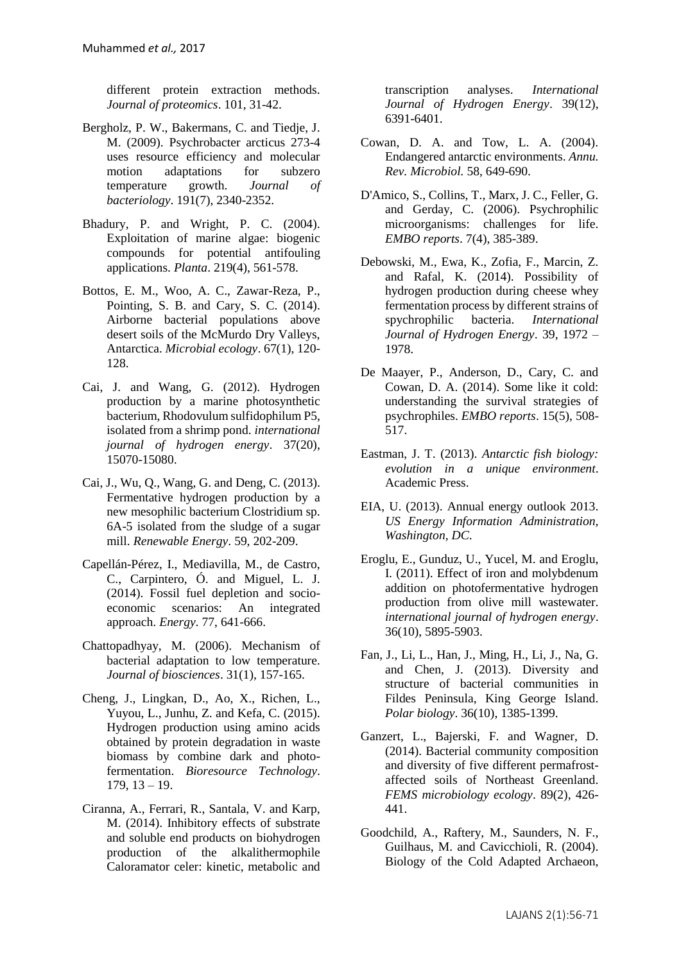different protein extraction methods. *Journal of proteomics*. 101, 31-42.

- <span id="page-11-10"></span>Bergholz, P. W., Bakermans, C. and Tiedje, J. M. (2009). Psychrobacter arcticus 273-4 uses resource efficiency and molecular motion adaptations for subzero temperature growth. *Journal of bacteriology*. 191(7), 2340-2352.
- <span id="page-11-2"></span>Bhadury, P. and Wright, P. C. (2004). Exploitation of marine algae: biogenic compounds for potential antifouling applications. *Planta*. 219(4), 561-578.
- Bottos, E. M., Woo, A. C., Zawar-Reza, P., Pointing, S. B. and Cary, S. C. (2014). Airborne bacterial populations above desert soils of the McMurdo Dry Valleys, Antarctica. *Microbial ecology*. 67(1), 120- 128.
- <span id="page-11-13"></span>Cai, J. and Wang, G. (2012). Hydrogen production by a marine photosynthetic bacterium, Rhodovulum sulfidophilum P5, isolated from a shrimp pond. *international journal of hydrogen energy*. 37(20), 15070-15080.
- <span id="page-11-12"></span>Cai, J., Wu, Q., Wang, G. and Deng, C. (2013). Fermentative hydrogen production by a new mesophilic bacterium Clostridium sp. 6A-5 isolated from the sludge of a sugar mill. *Renewable Energy*. 59, 202-209.
- <span id="page-11-4"></span>Capellán-Pérez, I., Mediavilla, M., de Castro, C., Carpintero, Ó. and Miguel, L. J. (2014). Fossil fuel depletion and socioeconomic scenarios: An integrated approach. *Energy*. 77, 641-666.
- <span id="page-11-8"></span>Chattopadhyay, M. (2006). Mechanism of bacterial adaptation to low temperature. *Journal of biosciences*. 31(1), 157-165.
- <span id="page-11-11"></span>Cheng, J., Lingkan, D., Ao, X., Richen, L., Yuyou, L., Junhu, Z. and Kefa, C. (2015). Hydrogen production using amino acids obtained by protein degradation in waste biomass by combine dark and photofermentation. *Bioresource Technology*. 179, 13 – 19.
- Ciranna, A., Ferrari, R., Santala, V. and Karp, M. (2014). Inhibitory effects of substrate and soluble end products on biohydrogen production of the alkalithermophile Caloramator celer: kinetic, metabolic and

transcription analyses. *International Journal of Hydrogen Energy*. 39(12), 6391-6401.

- <span id="page-11-1"></span>Cowan, D. A. and Tow, L. A. (2004). Endangered antarctic environments. *Annu. Rev. Microbiol.* 58, 649-690.
- <span id="page-11-9"></span>D'Amico, S., Collins, T., Marx, J. C., Feller, G. and Gerday, C. (2006). Psychrophilic microorganisms: challenges for life. *EMBO reports*. 7(4), 385-389.
- <span id="page-11-6"></span>Debowski, M., Ewa, K., Zofia, F., Marcin, Z. and Rafal, K. (2014). Possibility of hydrogen production during cheese whey fermentation process by different strains of spychrophilic bacteria. *International Journal of Hydrogen Energy*. 39, 1972 – 1978.
- De Maayer, P., Anderson, D., Cary, C. and Cowan, D. A. (2014). Some like it cold: understanding the survival strategies of psychrophiles. *EMBO reports*. 15(5), 508- 517.
- <span id="page-11-0"></span>Eastman, J. T. (2013). *Antarctic fish biology: evolution in a unique environment*. Academic Press.
- <span id="page-11-3"></span>EIA, U. (2013). Annual energy outlook 2013. *US Energy Information Administration, Washington, DC*.
- <span id="page-11-14"></span>Eroglu, E., Gunduz, U., Yucel, M. and Eroglu, I. (2011). Effect of iron and molybdenum addition on photofermentative hydrogen production from olive mill wastewater. *international journal of hydrogen energy*. 36(10), 5895-5903.
- Fan, J., Li, L., Han, J., Ming, H., Li, J., Na, G. and Chen, J. (2013). Diversity and structure of bacterial communities in Fildes Peninsula, King George Island. *Polar biology*. 36(10), 1385-1399.
- <span id="page-11-5"></span>Ganzert, L., Bajerski, F. and Wagner, D. (2014). Bacterial community composition and diversity of five different permafrostaffected soils of Northeast Greenland. *FEMS microbiology ecology*. 89(2), 426- 441.
- <span id="page-11-7"></span>Goodchild, A., Raftery, M., Saunders, N. F., Guilhaus, M. and Cavicchioli, R. (2004). Biology of the Cold Adapted Archaeon,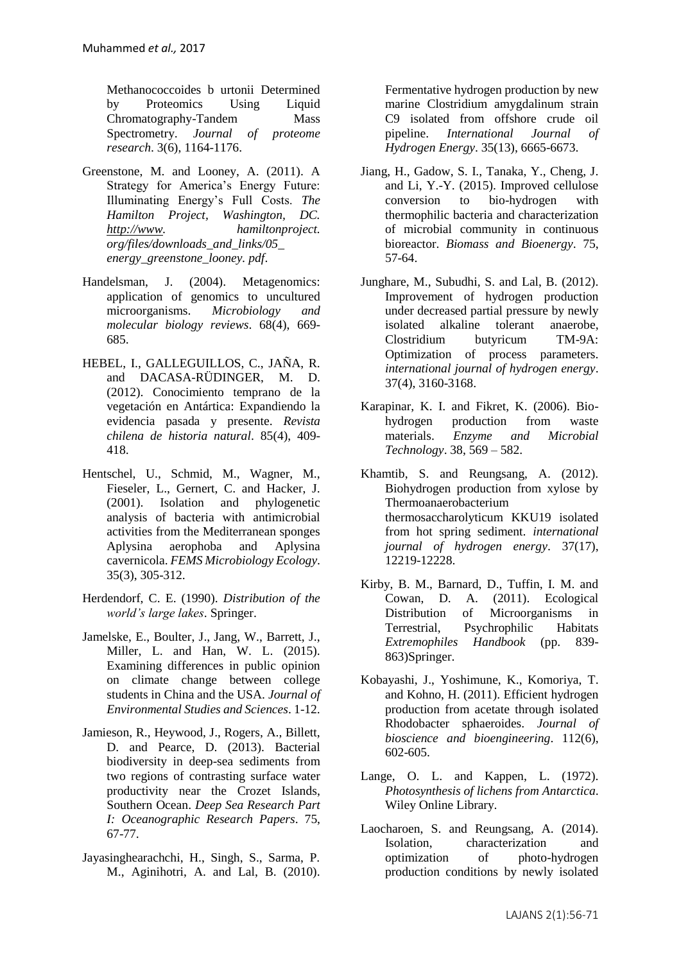Methanococcoides b urtonii Determined by Proteomics Using Liquid Chromatography-Tandem Mass Spectrometry. *Journal of proteome research*. 3(6), 1164-1176.

- <span id="page-12-6"></span>Greenstone, M. and Looney, A. (2011). A Strategy for America's Energy Future: Illuminating Energy's Full Costs. *The Hamilton Project, Washington, DC. [http://www.](http://www/) hamiltonproject. org/files/downloads\_and\_links/05\_ energy\_greenstone\_looney. pdf*.
- <span id="page-12-3"></span>Handelsman, J. (2004). Metagenomics: application of genomics to uncultured microorganisms. *Microbiology and molecular biology reviews*. 68(4), 669- 685.
- <span id="page-12-1"></span>HEBEL, I., GALLEGUILLOS, C., JAÑA, R. and DACASA-RÜDINGER, M. D. (2012). Conocimiento temprano de la vegetación en Antártica: Expandiendo la evidencia pasada y presente. *Revista chilena de historia natural*. 85(4), 409- 418.
- <span id="page-12-4"></span>Hentschel, U., Schmid, M., Wagner, M., Fieseler, L., Gernert, C. and Hacker, J. (2001). Isolation and phylogenetic analysis of bacteria with antimicrobial activities from the Mediterranean sponges Aplysina aerophoba and Aplysina cavernicola. *FEMS Microbiology Ecology*. 35(3), 305-312.
- <span id="page-12-0"></span>Herdendorf, C. E. (1990). *Distribution of the world's large lakes*. Springer.
- <span id="page-12-5"></span>Jamelske, E., Boulter, J., Jang, W., Barrett, J., Miller, L. and Han, W. L. (2015). Examining differences in public opinion on climate change between college students in China and the USA. *Journal of Environmental Studies and Sciences*. 1-12.
- <span id="page-12-8"></span>Jamieson, R., Heywood, J., Rogers, A., Billett, D. and Pearce, D. (2013). Bacterial biodiversity in deep-sea sediments from two regions of contrasting surface water productivity near the Crozet Islands, Southern Ocean. *Deep Sea Research Part I: Oceanographic Research Papers*. 75, 67-77.
- Jayasinghearachchi, H., Singh, S., Sarma, P. M., Aginihotri, A. and Lal, B. (2010).

Fermentative hydrogen production by new marine Clostridium amygdalinum strain C9 isolated from offshore crude oil pipeline. *International Journal of Hydrogen Energy*. 35(13), 6665-6673.

- <span id="page-12-10"></span>Jiang, H., Gadow, S. I., Tanaka, Y., Cheng, J. and Li, Y.-Y. (2015). Improved cellulose conversion to bio-hydrogen with thermophilic bacteria and characterization of microbial community in continuous bioreactor. *Biomass and Bioenergy*. 75, 57-64.
- <span id="page-12-12"></span>Junghare, M., Subudhi, S. and Lal, B. (2012). Improvement of hydrogen production under decreased partial pressure by newly isolated alkaline tolerant anaerobe, Clostridium butyricum TM-9A: Optimization of process parameters. *international journal of hydrogen energy*. 37(4), 3160-3168.
- <span id="page-12-11"></span>Karapinar, K. I. and Fikret, K. (2006). Biohydrogen production from waste materials. *Enzyme and Microbial Technology*. 38, 569 – 582.
- Khamtib, S. and Reungsang, A. (2012). Biohydrogen production from xylose by Thermoanaerobacterium thermosaccharolyticum KKU19 isolated from hot spring sediment. *international journal of hydrogen energy*. 37(17), 12219-12228.
- <span id="page-12-9"></span>Kirby, B. M., Barnard, D., Tuffin, I. M. and Cowan, D. A. (2011). Ecological Distribution of Microorganisms in Terrestrial, Psychrophilic Habitats *Extremophiles Handbook* (pp. 839- 863)Springer.
- <span id="page-12-7"></span>Kobayashi, J., Yoshimune, K., Komoriya, T. and Kohno, H. (2011). Efficient hydrogen production from acetate through isolated Rhodobacter sphaeroides. *Journal of bioscience and bioengineering*. 112(6), 602-605.
- <span id="page-12-2"></span>Lange, O. L. and Kappen, L. (1972). *Photosynthesis of lichens from Antarctica*. Wiley Online Library.
- Laocharoen, S. and Reungsang, A. (2014). Isolation, characterization and optimization of photo-hydrogen production conditions by newly isolated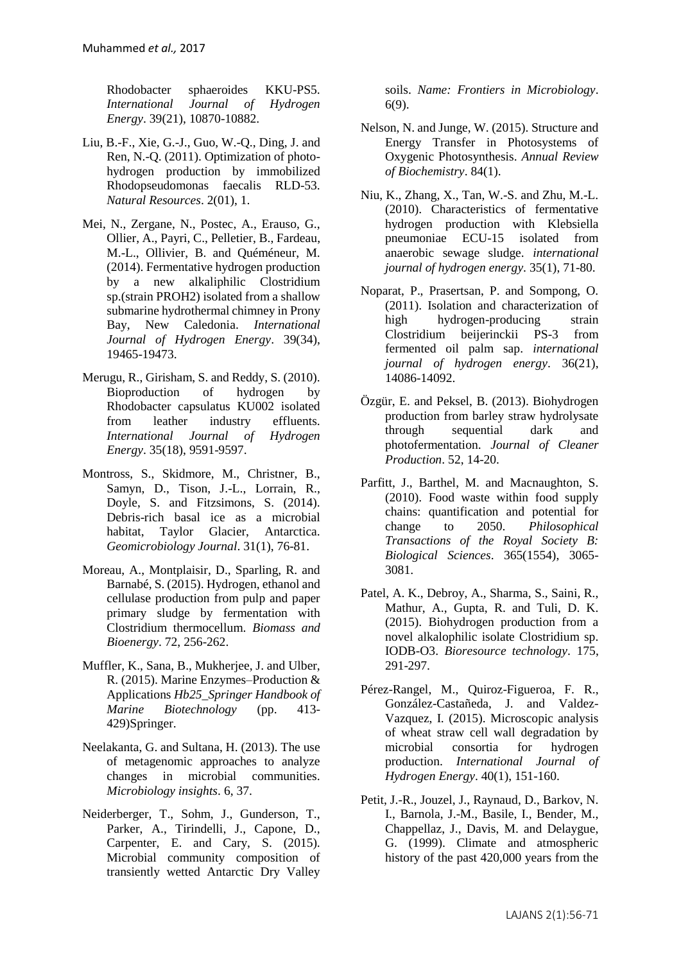Rhodobacter sphaeroides KKU-PS5. *International Journal of Hydrogen Energy*. 39(21), 10870-10882.

- Liu, B.-F., Xie, G.-J., Guo, W.-Q., Ding, J. and Ren, N.-Q. (2011). Optimization of photohydrogen production by immobilized Rhodopseudomonas faecalis RLD-53. *Natural Resources*. 2(01), 1.
- <span id="page-13-7"></span>Mei, N., Zergane, N., Postec, A., Erauso, G., Ollier, A., Payri, C., Pelletier, B., Fardeau, M.-L., Ollivier, B. and Quéméneur, M. (2014). Fermentative hydrogen production by a new alkaliphilic Clostridium sp.(strain PROH2) isolated from a shallow submarine hydrothermal chimney in Prony Bay, New Caledonia. *International Journal of Hydrogen Energy*. 39(34), 19465-19473.
- <span id="page-13-12"></span>Merugu, R., Girisham, S. and Reddy, S. (2010). Bioproduction of hydrogen by Rhodobacter capsulatus KU002 isolated from leather industry effluents. *International Journal of Hydrogen Energy*. 35(18), 9591-9597.
- <span id="page-13-1"></span>Montross, S., Skidmore, M., Christner, B., Samyn, D., Tison, J.-L., Lorrain, R., Doyle, S. and Fitzsimons, S. (2014). Debris-rich basal ice as a microbial habitat, Taylor Glacier, Antarctica. *Geomicrobiology Journal*. 31(1), 76-81.
- <span id="page-13-9"></span>Moreau, A., Montplaisir, D., Sparling, R. and Barnabé, S. (2015). Hydrogen, ethanol and cellulase production from pulp and paper primary sludge by fermentation with Clostridium thermocellum. *Biomass and Bioenergy*. 72, 256-262.
- <span id="page-13-6"></span>Muffler, K., Sana, B., Mukherjee, J. and Ulber, R. (2015). Marine Enzymes–Production & Applications *Hb25\_Springer Handbook of Marine Biotechnology* (pp. 413- 429)Springer.
- <span id="page-13-2"></span>Neelakanta, G. and Sultana, H. (2013). The use of metagenomic approaches to analyze changes in microbial communities. *Microbiology insights*. 6, 37.
- Neiderberger, T., Sohm, J., Gunderson, T., Parker, A., Tirindelli, J., Capone, D., Carpenter, E. and Cary, S. (2015). Microbial community composition of transiently wetted Antarctic Dry Valley

soils. *Name: Frontiers in Microbiology*. 6(9).

- <span id="page-13-5"></span>Nelson, N. and Junge, W. (2015). Structure and Energy Transfer in Photosystems of Oxygenic Photosynthesis. *Annual Review of Biochemistry*. 84(1).
- Niu, K., Zhang, X., Tan, W.-S. and Zhu, M.-L. (2010). Characteristics of fermentative hydrogen production with Klebsiella pneumoniae ECU-15 isolated from anaerobic sewage sludge. *international journal of hydrogen energy*. 35(1), 71-80.
- <span id="page-13-10"></span>Noparat, P., Prasertsan, P. and Sompong, O. (2011). Isolation and characterization of high hydrogen-producing strain Clostridium beijerinckii PS-3 from fermented oil palm sap. *international journal of hydrogen energy*. 36(21), 14086-14092.
- <span id="page-13-4"></span>Özgür, E. and Peksel, B. (2013). Biohydrogen production from barley straw hydrolysate through sequential dark and photofermentation. *Journal of Cleaner Production*. 52, 14-20.
- <span id="page-13-3"></span>Parfitt, J., Barthel, M. and Macnaughton, S. (2010). Food waste within food supply chains: quantification and potential for change to 2050. *Philosophical Transactions of the Royal Society B: Biological Sciences*. 365(1554), 3065- 3081.
- <span id="page-13-8"></span>Patel, A. K., Debroy, A., Sharma, S., Saini, R., Mathur, A., Gupta, R. and Tuli, D. K. (2015). Biohydrogen production from a novel alkalophilic isolate Clostridium sp. IODB-O3. *Bioresource technology*. 175, 291-297.
- <span id="page-13-11"></span>Pérez-Rangel, M., Quiroz-Figueroa, F. R., González-Castañeda, J. and Valdez-Vazquez, I. (2015). Microscopic analysis of wheat straw cell wall degradation by microbial consortia for hydrogen production. *International Journal of Hydrogen Energy*. 40(1), 151-160.
- <span id="page-13-0"></span>Petit, J.-R., Jouzel, J., Raynaud, D., Barkov, N. I., Barnola, J.-M., Basile, I., Bender, M., Chappellaz, J., Davis, M. and Delaygue, G. (1999). Climate and atmospheric history of the past 420,000 years from the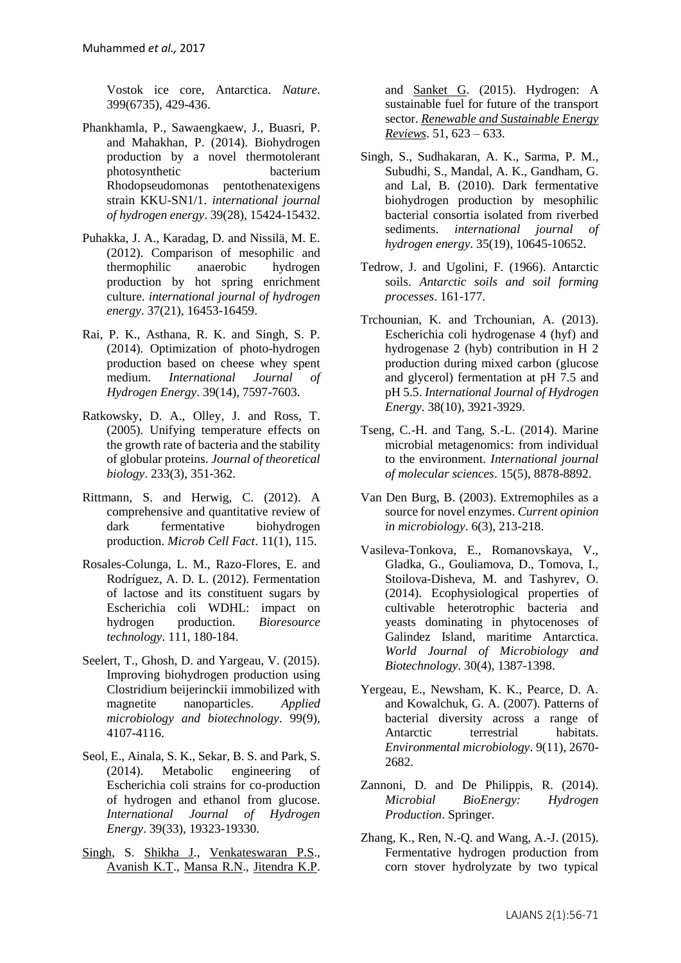Vostok ice core, Antarctica. *Nature*. 399(6735), 429-436.

- <span id="page-14-11"></span>Phankhamla, P., Sawaengkaew, J., Buasri, P. and Mahakhan, P. (2014). Biohydrogen production by a novel thermotolerant photosynthetic bacterium Rhodopseudomonas pentothenatexigens strain KKU-SN1/1. *international journal of hydrogen energy*. 39(28), 15424-15432.
- <span id="page-14-9"></span>Puhakka, J. A., Karadag, D. and Nissilä, M. E. (2012). Comparison of mesophilic and thermophilic anaerobic hydrogen production by hot spring enrichment culture. *international journal of hydrogen energy*. 37(21), 16453-16459.
- <span id="page-14-3"></span>Rai, P. K., Asthana, R. K. and Singh, S. P. (2014). Optimization of photo-hydrogen production based on cheese whey spent medium. *International Journal of Hydrogen Energy*. 39(14), 7597-7603.
- <span id="page-14-4"></span>Ratkowsky, D. A., Olley, J. and Ross, T. (2005). Unifying temperature effects on the growth rate of bacteria and the stability of globular proteins. *Journal of theoretical biology*. 233(3), 351-362.
- <span id="page-14-12"></span>Rittmann, S. and Herwig, C. (2012). A comprehensive and quantitative review of dark fermentative biohydrogen production. *Microb Cell Fact*. 11(1), 115.
- <span id="page-14-5"></span>Rosales-Colunga, L. M., Razo-Flores, E. and Rodríguez, A. D. L. (2012). Fermentation of lactose and its constituent sugars by Escherichia coli WDHL: impact on hydrogen production. *Bioresource technology*. 111, 180-184.
- <span id="page-14-6"></span>Seelert, T., Ghosh, D. and Yargeau, V. (2015). Improving biohydrogen production using Clostridium beijerinckii immobilized with magnetite nanoparticles. *Applied microbiology and biotechnology*. 99(9), 4107-4116.
- Seol, E., Ainala, S. K., Sekar, B. S. and Park, S. (2014). Metabolic engineering of Escherichia coli strains for co-production of hydrogen and ethanol from glucose. *International Journal of Hydrogen Energy*. 39(33), 19323-19330.
- <span id="page-14-7"></span>[Singh,](http://www.sciencedirect.com/science/article/pii/S1364032115006127) S. [Shikha J.](http://www.sciencedirect.com/science/article/pii/S1364032115006127), [Venkateswaran P.S.](http://www.sciencedirect.com/science/article/pii/S1364032115006127), [Avanish K.T.](http://www.sciencedirect.com/science/article/pii/S1364032115006127), [Mansa R.N.](http://www.sciencedirect.com/science/article/pii/S1364032115006127), [Jitendra K.P.](http://www.sciencedirect.com/science/article/pii/S1364032115006127)

and [Sanket G.](http://www.sciencedirect.com/science/article/pii/S1364032115006127) (2015). Hydrogen: A sustainable fuel for future of the transport sector. *[Renewable and Sustainable Energy](http://www.sciencedirect.com/science/journal/13640321)  [Reviews](http://www.sciencedirect.com/science/journal/13640321)*. 51, 623 – 633.

- Singh, S., Sudhakaran, A. K., Sarma, P. M., Subudhi, S., Mandal, A. K., Gandham, G. and Lal, B. (2010). Dark fermentative biohydrogen production by mesophilic bacterial consortia isolated from riverbed sediments. *international journal of hydrogen energy*. 35(19), 10645-10652.
- <span id="page-14-0"></span>Tedrow, J. and Ugolini, F. (1966). Antarctic soils. *Antarctic soils and soil forming processes*. 161-177.
- <span id="page-14-13"></span>Trchounian, K. and Trchounian, A. (2013). Escherichia coli hydrogenase 4 (hyf) and hydrogenase 2 (hyb) contribution in H 2 production during mixed carbon (glucose and glycerol) fermentation at pH 7.5 and pH 5.5. *International Journal of Hydrogen Energy*. 38(10), 3921-3929.
- <span id="page-14-2"></span>Tseng, C.-H. and Tang, S.-L. (2014). Marine microbial metagenomics: from individual to the environment. *International journal of molecular sciences*. 15(5), 8878-8892.
- <span id="page-14-8"></span>Van Den Burg, B. (2003). Extremophiles as a source for novel enzymes. *Current opinion in microbiology*. 6(3), 213-218.
- Vasileva-Tonkova, E., Romanovskaya, V., Gladka, G., Gouliamova, D., Tomova, I., Stoilova-Disheva, M. and Tashyrev, O. (2014). Ecophysiological properties of cultivable heterotrophic bacteria and yeasts dominating in phytocenoses of Galindez Island, maritime Antarctica. *World Journal of Microbiology and Biotechnology*. 30(4), 1387-1398.
- <span id="page-14-1"></span>Yergeau, E., Newsham, K. K., Pearce, D. A. and Kowalchuk, G. A. (2007). Patterns of bacterial diversity across a range of Antarctic terrestrial habitats. *Environmental microbiology*. 9(11), 2670- 2682.
- Zannoni, D. and De Philippis, R. (2014). *Microbial BioEnergy: Hydrogen Production*. Springer.
- <span id="page-14-10"></span>Zhang, K., Ren, N.-Q. and Wang, A.-J. (2015). Fermentative hydrogen production from corn stover hydrolyzate by two typical